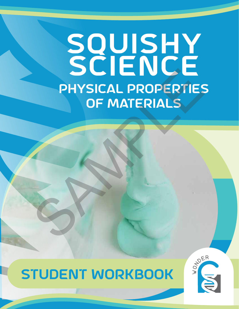# squishy SCIENCE physical properties of materials PHYSICAL PROPERTIES



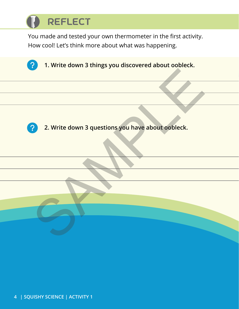## **REFLECT**

You made and tested your own thermometer in the first activity. How cool! Let's think more about what was happening.

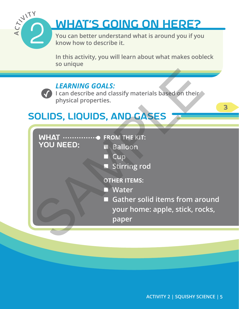

## What**'**s Going on Here?

**You can better understand what is around you if you know how to describe it.**

**In this activity, you will learn about what makes oobleck so unique**

### *LEARNING GOALS:*

**I** can describe and classify materials based on their **physical properties.**

## Solids, Liquids, and Gases

| <b>YOU NEED:</b> | $R$ alloon |  |
|------------------|------------|--|

 **Balloon**

- **Cup**
- **Stirring rod**
- **OTHER ITEMS:**
- **Water**
- **Gather solid items from around your home: apple, stick, rocks, paper** SAMPLE

3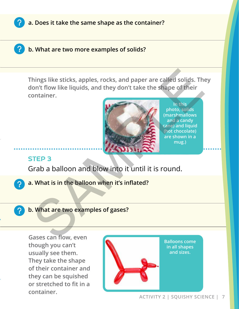

**a. Does it take the same shape as the container?**

**b. What are two more examples of solids?**

**Things like sticks, apples, rocks, and paper are called solids. They don't flow like liquids, and they don't take the shape of their container.** TEP 3<br>
Notice the shapes, rocks, and paper are called solids. The on't flow like liquids, and they don't take the shape of their<br>
ontainer.<br>
The this demand is a candy that is in the balloon and blow into it until it is ro



**In this photo, solids (marshmallows and a candy cane) and liquid (hot chocolate) are shown in a mug.)**

#### STEP 3

Grab a balloon and blow into it until it is round.

- **a. What is in the balloon when it's inflated?**
- 

**b. What are two examples of gases?**

**Gases can flow, even though you can't usually see them. They take the shape of their container and they can be squished or stretched to fit in a container.**



**Balloons come in all shapes and sizes.**